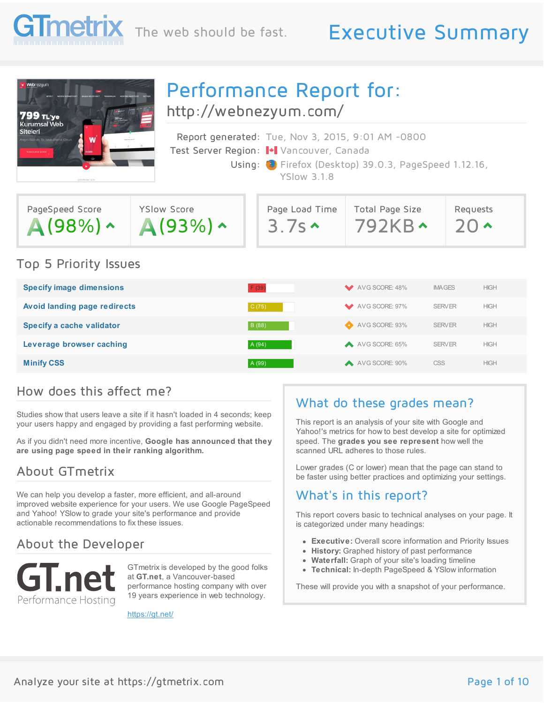

## The web should be fast. Executive Summary

Requests  $J(1)$ 



# Performance Report for:

<http://webnezyum.com/>

| Report generated: Tue, Nov 3, 2015, 9:01 AM -0800     |
|-------------------------------------------------------|
| Test Server Region: + Vancouver, Canada               |
| Using: C Firefox (Desktop) 39.0.3, PageSpeed 1.12.16, |
| <b>YSlow 3.1.8</b>                                    |
|                                                       |
|                                                       |

Page Load Time

 $3.7s$ 

|  | <b>Top 5 Priority Issues</b> |  |
|--|------------------------------|--|

A(98%) ^

PageSpeed Score

| <b>Specify image dimensions</b>     | F(39)  | AVG SCORE: 48%  | <b>IMAGES</b> | <b>HIGH</b> |
|-------------------------------------|--------|-----------------|---------------|-------------|
| <b>Avoid landing page redirects</b> | C(75)  | AVG SCORE: 97%  | <b>SERVER</b> | <b>HIGH</b> |
| Specify a cache validator           | B (88) | AVG SCORE: 93%  | <b>SERVER</b> | <b>HIGH</b> |
| Leverage browser caching            | A (94) | A VG SCORE: 65% | <b>SERVER</b> | <b>HIGH</b> |
| <b>Minify CSS</b>                   | A (99) | AVG SCORE: 90%  | <b>CSS</b>    | <b>HIGH</b> |

#### How does this affect me?

Studies show that users leave a site if it hasn't loaded in 4 seconds; keep your users happy and engaged by providing a fast performing website.

YSlow Score

 $A(93%) \sim$ 

As if you didn't need more incentive, **Google has announced that they are using page speed in their ranking algorithm.**

#### About GTmetrix

We can help you develop a faster, more efficient, and all-around improved website experience for your users. We use Google PageSpeed and Yahoo! YSlow to grade your site's performance and provide actionable recommendations to fix these issues.

#### About the Developer



GTmetrix is developed by the good folks at **GT.net**, a Vancouver-based performance hosting company with over 19 years experience in web technology.

<https://gt.net/>

#### What do these grades mean?

Total Page Size  $792KB$ 

This report is an analysis of your site with Google and Yahoo!'s metrics for how to best develop a site for optimized speed. The **grades you see represent** how well the scanned URL adheres to those rules.

Lower grades (C or lower) mean that the page can stand to be faster using better practices and optimizing your settings.

#### What's in this report?

This report covers basic to technical analyses on your page. It is categorized under many headings:

- **Executive:** Overall score information and Priority Issues
- **History:** Graphed history of past performance
- **Waterfall:** Graph of your site's loading timeline
- **Technical:** In-depth PageSpeed & YSlow information

These will provide you with a snapshot of your performance.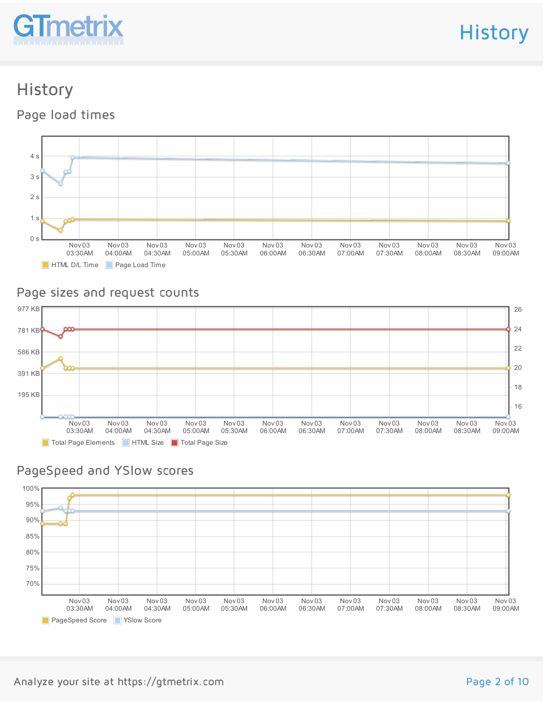

**History** 

# History

Page load times



#### Page sizes and request counts



#### PageSpeed and YSlow scores

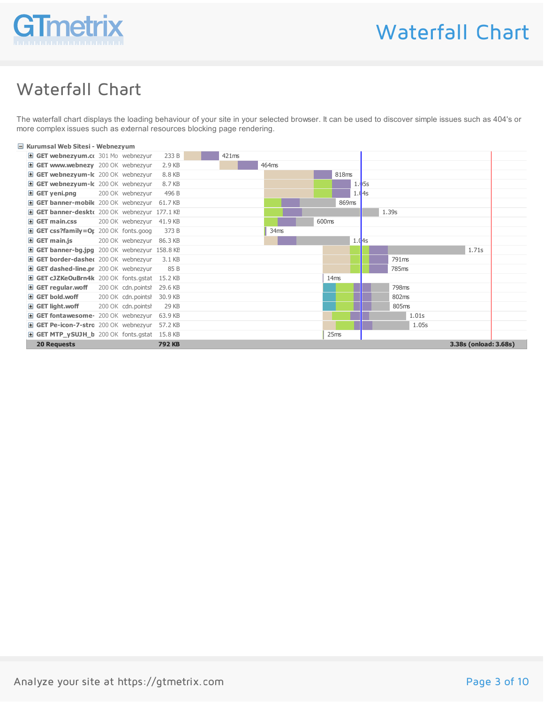

### Waterfall Chart

The waterfall chart displays the loading behaviour of your site in your selected browser. It can be used to discover simple issues such as 404's or more complex issues such as external resources blocking page rendering.

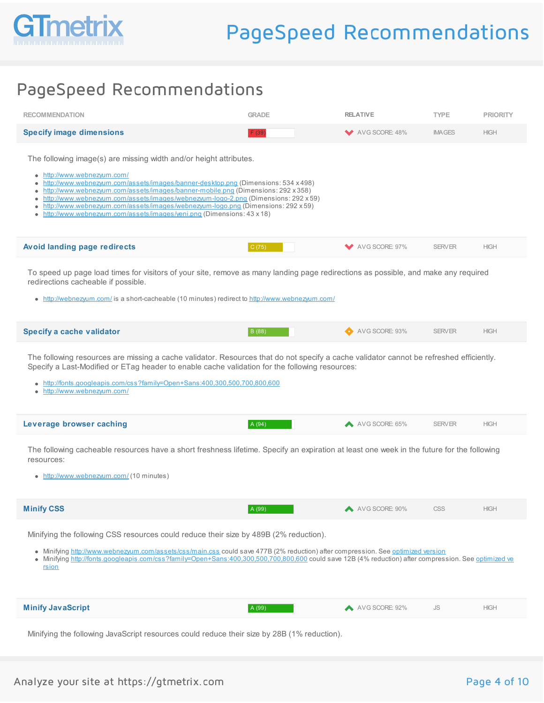

### PageSpeed Recommendations

| <b>RECOMMENDATION</b>                                                                                                                                                                                                                                                                                                                                                                                                                                                                                                                         | <b>GRADE</b> | <b>RELATIVE</b> | <b>TYPE</b>   | <b>PRIORITY</b> |
|-----------------------------------------------------------------------------------------------------------------------------------------------------------------------------------------------------------------------------------------------------------------------------------------------------------------------------------------------------------------------------------------------------------------------------------------------------------------------------------------------------------------------------------------------|--------------|-----------------|---------------|-----------------|
| <b>Specify image dimensions</b>                                                                                                                                                                                                                                                                                                                                                                                                                                                                                                               | F(39)        | AVG SCORE: 48%  | <b>IMAGES</b> | <b>HIGH</b>     |
| The following image(s) are missing width and/or height attributes.<br>http://www.webnezyum.com/<br>$\bullet$<br>http://www.webnezyum.com/assets/images/banner-desktop.png (Dimensions: 534 x 498)<br>http://www.webnezyum.com/assets/images/banner-mobile.png (Dimensions: 292 x 358)<br>http://www.webnezyum.com/assets/images/webnezyum-logo-2.png (Dimensions: 292 x 59)<br>٠<br>http://www.webnezyum.com/assets/images/webnezyum-logo.png (Dimensions: 292 x 59)<br>http://www.webnezyum.com/assets/images/yeni.png (Dimensions: 43 x 18) |              |                 |               |                 |
| <b>Avoid landing page redirects</b>                                                                                                                                                                                                                                                                                                                                                                                                                                                                                                           | C(75)        | AVG SCORE: 97%  | <b>SERVER</b> | <b>HIGH</b>     |
| To speed up page load times for visitors of your site, remove as many landing page redirections as possible, and make any required<br>redirections cacheable if possible.<br>• http://webnezyum.com/ is a short-cacheable (10 minutes) redirect to http://www.webnezyum.com/                                                                                                                                                                                                                                                                  |              |                 |               |                 |
| <b>Specify a cache validator</b>                                                                                                                                                                                                                                                                                                                                                                                                                                                                                                              | B (88)       | AVG SCORE: 93%  | <b>SERVER</b> | <b>HIGH</b>     |
| The following resources are missing a cache validator. Resources that do not specify a cache validator cannot be refreshed efficiently.<br>Specify a Last-Modified or ETag header to enable cache validation for the following resources:<br>http://fonts.googleapis.com/css?family=Open+Sans:400,300,500,700,800,600<br>$\bullet$<br>http://www.webnezyum.com/                                                                                                                                                                               |              |                 |               |                 |
| Leverage browser caching                                                                                                                                                                                                                                                                                                                                                                                                                                                                                                                      | A (94)       | AVG SCORE: 65%  | <b>SERVER</b> | <b>HIGH</b>     |
| The following cacheable resources have a short freshness lifetime. Specify an expiration at least one week in the future for the following<br>resources:<br>• http://www.webnezyum.com/ (10 minutes)                                                                                                                                                                                                                                                                                                                                          |              |                 |               |                 |
| <b>Minify CSS</b>                                                                                                                                                                                                                                                                                                                                                                                                                                                                                                                             | A (99)       | AVG SCORE: 90%  | <b>CSS</b>    | <b>HIGH</b>     |
| Minifying the following CSS resources could reduce their size by 489B (2% reduction).<br>• Minifying http://www.webnezyum.com/assets/css/main.css could save 477B (2% reduction) after compression. See optimized version<br>• Minifying http://fonts.googleapis.com/css?family=Open+Sans:400,300,500,700,800,600 could save 12B (4% reduction) after compression. See optimized ve<br>rsion                                                                                                                                                  |              |                 |               |                 |
| <b>Minify JavaScript</b>                                                                                                                                                                                                                                                                                                                                                                                                                                                                                                                      | A (99)       | AVG SCORE: 92%  | <b>JS</b>     | <b>HIGH</b>     |
| Minifying the following JavaScript resources could reduce their size by 28B (1% reduction).                                                                                                                                                                                                                                                                                                                                                                                                                                                   |              |                 |               |                 |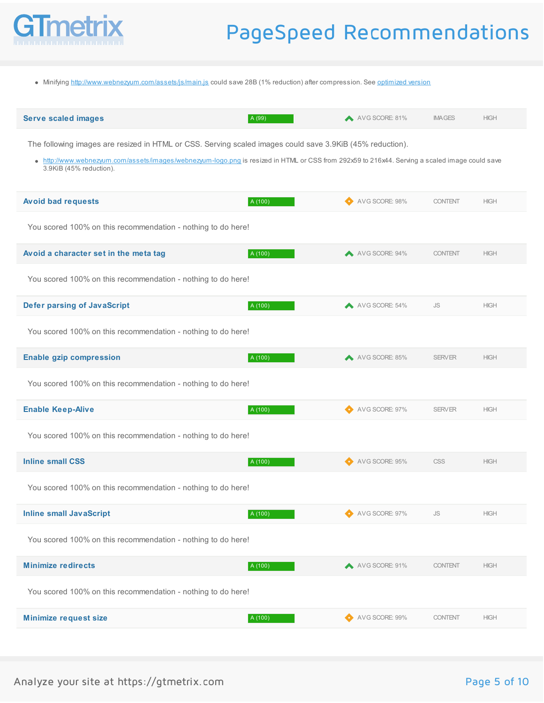

## PageSpeed Recommendations

• Minifying <http://www.webnezyum.com/assets/js/main.js> could save 28B (1% reduction) after compression. See [optimized](/reports/webnezyum.com/KQjdEuhW/pagespeed/main_0d4721725bbe8b6d0d2f127d139e1f6b.js) version

| <b>Serve scaled images</b>                                                                                                                                                                                                                                                             | A (99)  | A AVG SCORE: 81% | <b>IMAGES</b>  | <b>HIGH</b>                                                          |
|----------------------------------------------------------------------------------------------------------------------------------------------------------------------------------------------------------------------------------------------------------------------------------------|---------|------------------|----------------|----------------------------------------------------------------------|
| The following images are resized in HTML or CSS. Serving scaled images could save 3.9KiB (45% reduction).<br>• http://www.webnezyum.com/assets/images/webnezyum-logo.png is resized in HTML or CSS from 292x59 to 216x44. Serving a scaled image could save<br>3.9KiB (45% reduction). |         |                  |                |                                                                      |
| <b>Avoid bad requests</b>                                                                                                                                                                                                                                                              | A (100) | AVG SCORE: 98%   | <b>CONTENT</b> | <b>HIGH</b>                                                          |
| You scored 100% on this recommendation - nothing to do here!                                                                                                                                                                                                                           |         |                  |                |                                                                      |
| Avoid a character set in the meta tag                                                                                                                                                                                                                                                  | A (100) | AVG SCORE: 94%   | <b>CONTENT</b> | <b>HIGH</b>                                                          |
| You scored 100% on this recommendation - nothing to do here!                                                                                                                                                                                                                           |         |                  |                |                                                                      |
| <b>Defer parsing of JavaScript</b>                                                                                                                                                                                                                                                     | A (100) | AVG SCORE: 54%   | <b>JS</b>      | <b>HIGH</b>                                                          |
| You scored 100% on this recommendation - nothing to do here!                                                                                                                                                                                                                           |         |                  |                |                                                                      |
| <b>Enable gzip compression</b>                                                                                                                                                                                                                                                         | A (100) | AVG SCORE: 85%   | <b>SERVER</b>  | <b>HIGH</b>                                                          |
| You scored 100% on this recommendation - nothing to do here!                                                                                                                                                                                                                           |         |                  |                |                                                                      |
| <b>Enable Keep-Alive</b>                                                                                                                                                                                                                                                               | A (100) | AVG SCORE: 97%   | <b>SERVER</b>  | <b>HIGH</b>                                                          |
| You scored 100% on this recommendation - nothing to do here!                                                                                                                                                                                                                           |         |                  |                |                                                                      |
| <b>Inline small CSS</b>                                                                                                                                                                                                                                                                | A (100) | AVG SCORE: 95%   | <b>CSS</b>     | <b>HIGH</b>                                                          |
| You scored 100% on this recommendation - nothing to do here!                                                                                                                                                                                                                           |         |                  |                |                                                                      |
| <b>Inline small JavaScript</b>                                                                                                                                                                                                                                                         | A (100) | AVG SCORE: 97%   | JS             | $\ensuremath{\mathsf{H}}\ensuremath{\mathsf{I}\mathsf{G}\mathsf{H}}$ |
| You scored 100% on this recommendation - nothing to do here!                                                                                                                                                                                                                           |         |                  |                |                                                                      |
| <b>Minimize redirects</b>                                                                                                                                                                                                                                                              | A (100) | AVG SCORE: 91%   | <b>CONTENT</b> | <b>HIGH</b>                                                          |
| You scored 100% on this recommendation - nothing to do here!                                                                                                                                                                                                                           |         |                  |                |                                                                      |
| <b>Minimize request size</b>                                                                                                                                                                                                                                                           | A (100) | AVG SCORE: 99%   | <b>CONTENT</b> | <b>HIGH</b>                                                          |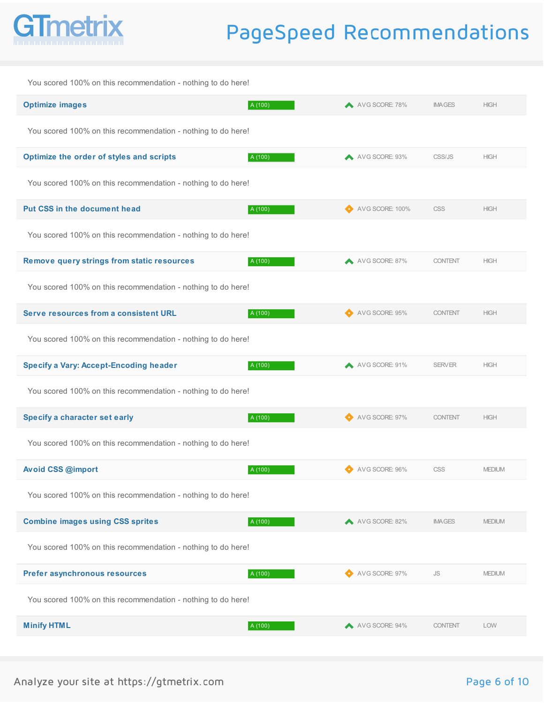

## PageSpeed Recommendations

| You scored 100% on this recommendation - nothing to do here! |         |                 |                |               |
|--------------------------------------------------------------|---------|-----------------|----------------|---------------|
| <b>Optimize images</b>                                       | A (100) | AVG SCORE: 78%  | <b>IMAGES</b>  | <b>HIGH</b>   |
| You scored 100% on this recommendation - nothing to do here! |         |                 |                |               |
| Optimize the order of styles and scripts                     | A (100) | AVG SCORE: 93%  | CSS/JS         | <b>HIGH</b>   |
| You scored 100% on this recommendation - nothing to do here! |         |                 |                |               |
| Put CSS in the document head                                 | A (100) | AVG SCORE: 100% | <b>CSS</b>     | <b>HIGH</b>   |
| You scored 100% on this recommendation - nothing to do here! |         |                 |                |               |
| <b>Remove query strings from static resources</b>            | A (100) | AVG SCORE: 87%  | <b>CONTENT</b> | <b>HIGH</b>   |
| You scored 100% on this recommendation - nothing to do here! |         |                 |                |               |
| Serve resources from a consistent URL                        | A (100) | AVG SCORE: 95%  | <b>CONTENT</b> | <b>HIGH</b>   |
| You scored 100% on this recommendation - nothing to do here! |         |                 |                |               |
| <b>Specify a Vary: Accept-Encoding header</b>                | A (100) | AVG SCORE: 91%  | <b>SERVER</b>  | <b>HIGH</b>   |
| You scored 100% on this recommendation - nothing to do here! |         |                 |                |               |
| Specify a character set early                                | A (100) | AVG SCORE: 97%  | <b>CONTENT</b> | <b>HIGH</b>   |
| You scored 100% on this recommendation - nothing to do here! |         |                 |                |               |
| Avoid CSS @import                                            | A (100) | AVG SCORE: 96%  | <b>CSS</b>     | <b>MEDIUM</b> |
| You scored 100% on this recommendation - nothing to do here! |         |                 |                |               |
| <b>Combine images using CSS sprites</b>                      | A (100) | AVG SCORE: 82%  | <b>IMAGES</b>  | <b>MEDIUM</b> |
| You scored 100% on this recommendation - nothing to do here! |         |                 |                |               |
| Prefer asynchronous resources                                | A (100) | AVG SCORE: 97%  | <b>JS</b>      | <b>MEDIUM</b> |
| You scored 100% on this recommendation - nothing to do here! |         |                 |                |               |
| <b>Minify HTML</b>                                           | A (100) | AVG SCORE: 94%  | <b>CONTENT</b> | <b>LOW</b>    |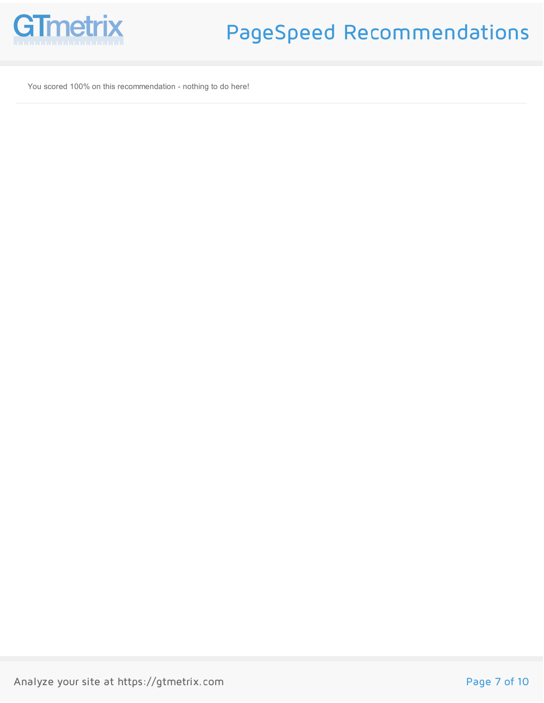

You scored 100% on this recommendation - nothing to do here!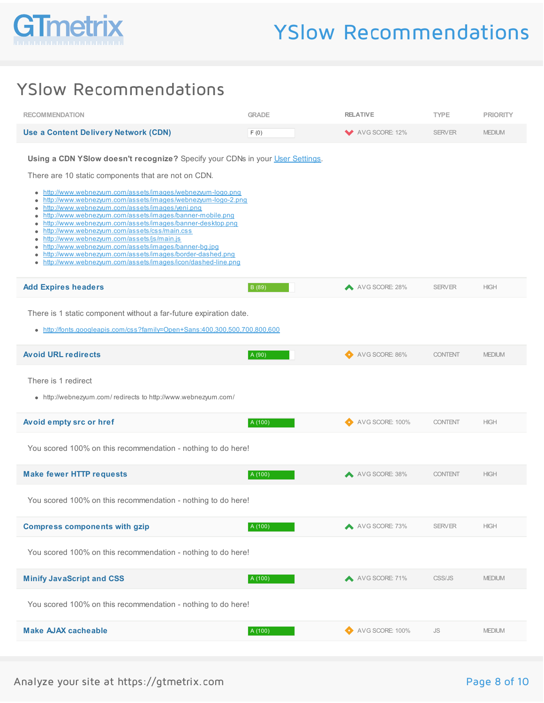

### YSlow Recommendations

| <b>RECOMMENDATION</b>                                                                                                                                                                                                                                                                                                                                                                                                                                                                                                                                                                                                                                                                                                                                                              | <b>GRADE</b> | <b>RELATIVE</b> | <b>TYPE</b>    | <b>PRIORITY</b> |
|------------------------------------------------------------------------------------------------------------------------------------------------------------------------------------------------------------------------------------------------------------------------------------------------------------------------------------------------------------------------------------------------------------------------------------------------------------------------------------------------------------------------------------------------------------------------------------------------------------------------------------------------------------------------------------------------------------------------------------------------------------------------------------|--------------|-----------------|----------------|-----------------|
| <b>Use a Content Delivery Network (CDN)</b>                                                                                                                                                                                                                                                                                                                                                                                                                                                                                                                                                                                                                                                                                                                                        | F(0)         | AVG SCORE: 12%  | <b>SERVER</b>  | <b>MEDIUM</b>   |
| Using a CDN YSlow doesn't recognize? Specify your CDNs in your User Settings.<br>There are 10 static components that are not on CDN.<br>• http://www.webnezyum.com/assets/images/webnezyum-logo.png<br>http://www.webnezyum.com/assets/images/webnezyum-logo-2.png<br>٠<br>http://www.webnezyum.com/assets/images/yeni.png<br>۰<br>http://www.webnezyum.com/assets/images/banner-mobile.png<br>٠<br>http://www.webnezyum.com/assets/images/banner-desktop.png<br>٠<br>http://www.webnezyum.com/assets/css/main.css<br>http://www.webnezyum.com/assets/js/main.js<br>http://www.webnezyum.com/assets/images/banner-bg.jpg<br>٠<br>http://www.webnezyum.com/assets/images/border-dashed.png<br>$\bullet$<br>http://www.webnezyum.com/assets/images/icon/dashed-line.png<br>$\bullet$ |              |                 |                |                 |
| <b>Add Expires headers</b>                                                                                                                                                                                                                                                                                                                                                                                                                                                                                                                                                                                                                                                                                                                                                         | B (89)       | AVG SCORE: 28%  | <b>SERVER</b>  | <b>HIGH</b>     |
| There is 1 static component without a far-future expiration date.<br>http://fonts.googleapis.com/css?family=Open+Sans:400,300,500,700,800,600                                                                                                                                                                                                                                                                                                                                                                                                                                                                                                                                                                                                                                      |              |                 |                |                 |
| <b>Avoid URL redirects</b>                                                                                                                                                                                                                                                                                                                                                                                                                                                                                                                                                                                                                                                                                                                                                         | A (90)       | AVG SCORE: 86%  | <b>CONTENT</b> | <b>MEDIUM</b>   |
| There is 1 redirect<br>• http://webnezyum.com/redirects to http://www.webnezyum.com/                                                                                                                                                                                                                                                                                                                                                                                                                                                                                                                                                                                                                                                                                               |              |                 |                |                 |
| Avoid empty src or href                                                                                                                                                                                                                                                                                                                                                                                                                                                                                                                                                                                                                                                                                                                                                            | A (100)      | AVG SCORE: 100% | <b>CONTENT</b> | <b>HIGH</b>     |
| You scored 100% on this recommendation - nothing to do here!                                                                                                                                                                                                                                                                                                                                                                                                                                                                                                                                                                                                                                                                                                                       |              |                 |                |                 |
| <b>Make fewer HTTP requests</b>                                                                                                                                                                                                                                                                                                                                                                                                                                                                                                                                                                                                                                                                                                                                                    | A (100)      | AVG SCORE: 38%  | <b>CONTENT</b> | <b>HIGH</b>     |
| You scored 100% on this recommendation - nothing to do here!                                                                                                                                                                                                                                                                                                                                                                                                                                                                                                                                                                                                                                                                                                                       |              |                 |                |                 |
| <b>Compress components with gzip</b>                                                                                                                                                                                                                                                                                                                                                                                                                                                                                                                                                                                                                                                                                                                                               | A (100)      | AVG SCORE: 73%  | <b>SERVER</b>  | <b>HIGH</b>     |
| You scored 100% on this recommendation - nothing to do here!                                                                                                                                                                                                                                                                                                                                                                                                                                                                                                                                                                                                                                                                                                                       |              |                 |                |                 |
| <b>Minify JavaScript and CSS</b>                                                                                                                                                                                                                                                                                                                                                                                                                                                                                                                                                                                                                                                                                                                                                   | A (100)      | AVG SCORE: 71%  | CSS/JS         | <b>MEDIUM</b>   |
| You scored 100% on this recommendation - nothing to do here!                                                                                                                                                                                                                                                                                                                                                                                                                                                                                                                                                                                                                                                                                                                       |              |                 |                |                 |
| <b>Make AJAX cacheable</b>                                                                                                                                                                                                                                                                                                                                                                                                                                                                                                                                                                                                                                                                                                                                                         | A (100)      | AVG SCORE: 100% | JS             | <b>MEDIUM</b>   |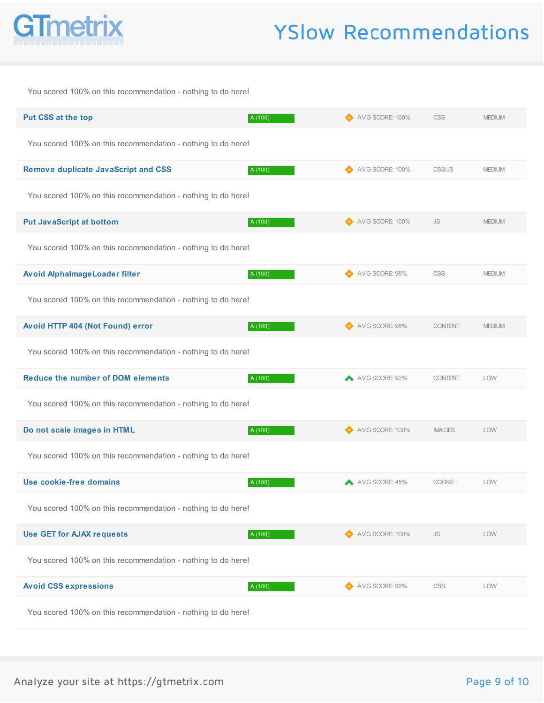

# YSlow Recommendations

| You scored 100% on this recommendation - nothing to do here! |         |                  |                |               |
|--------------------------------------------------------------|---------|------------------|----------------|---------------|
| Put CSS at the top                                           | A (100) | AVG SCORE: 100%  | <b>CSS</b>     | <b>MEDIUM</b> |
| You scored 100% on this recommendation - nothing to do here! |         |                  |                |               |
| <b>Remove duplicate JavaScript and CSS</b>                   | A (100) | AVG SCORE: 100%  | CSS/JS         | <b>MEDIUM</b> |
| You scored 100% on this recommendation - nothing to do here! |         |                  |                |               |
| <b>Put JavaScript at bottom</b>                              | A (100) | AVG SCORE: 100%  | <b>JS</b>      | <b>MEDIUM</b> |
| You scored 100% on this recommendation - nothing to do here! |         |                  |                |               |
| Avoid Alphalmage Loader filter                               | A (100) | AVG SCORE: 98%   | <b>CSS</b>     | <b>MEDIUM</b> |
| You scored 100% on this recommendation - nothing to do here! |         |                  |                |               |
| Avoid HTTP 404 (Not Found) error                             | A (100) | AVG SCORE: 98%   | <b>CONTENT</b> | <b>MEDIUM</b> |
| You scored 100% on this recommendation - nothing to do here! |         |                  |                |               |
| <b>Reduce the number of DOM elements</b>                     | A (100) | A AVG SCORE: 92% | <b>CONTENT</b> | LOW           |
| You scored 100% on this recommendation - nothing to do here! |         |                  |                |               |
| Do not scale images in HTML                                  | A (100) | AVG SCORE: 100%  | <b>IMAGES</b>  | LOW           |
| You scored 100% on this recommendation - nothing to do here! |         |                  |                |               |
| Use cookie-free domains                                      | A (100) | AVG SCORE: 45%   | COOKIE         | <b>LOW</b>    |
| You scored 100% on this recommendation - nothing to do here! |         |                  |                |               |
| <b>Use GET for AJAX requests</b>                             | A (100) | AVG SCORE: 100%  | <b>JS</b>      | <b>LOW</b>    |
| You scored 100% on this recommendation - nothing to do here! |         |                  |                |               |
| <b>Avoid CSS expressions</b>                                 | A (100) | AVG SCORE: 98%   | CSS            | LOW           |
| You scored 100% on this recommendation - nothing to do here! |         |                  |                |               |